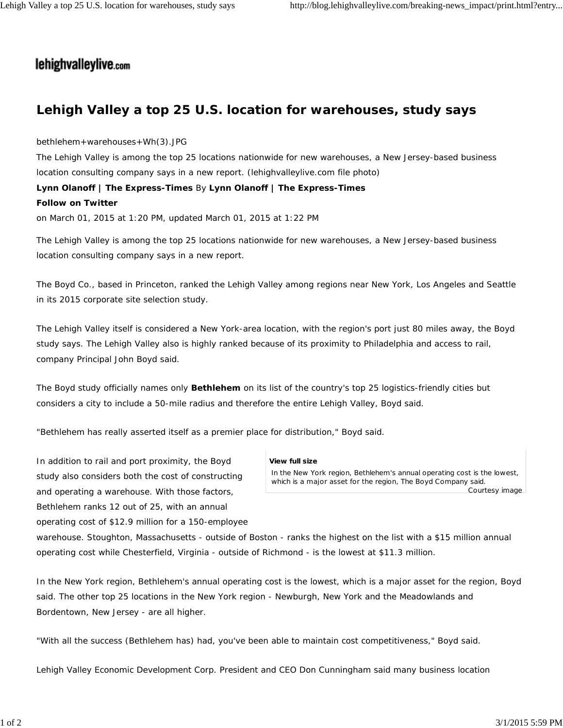## lehighvalleylive.com

## **Lehigh Valley a top 25 U.S. location for warehouses, study says**

bethlehem+warehouses+Wh(3).JPG

The Lehigh Valley is among the top 25 locations nationwide for new warehouses, a New Jersey-based business location consulting company says in a new report. *(lehighvalleylive.com file photo)*

**Lynn Olanoff | The Express-Times** By **Lynn Olanoff | The Express-Times**

## **Follow on Twitter**

on March 01, 2015 at 1:20 PM, updated March 01, 2015 at 1:22 PM

The Lehigh Valley is among the top 25 locations nationwide for new warehouses, a New Jersey-based business location consulting company says in a new report.

The Boyd Co., based in Princeton, ranked the Lehigh Valley among regions near New York, Los Angeles and Seattle in its 2015 corporate site selection study.

The Lehigh Valley itself is considered a New York-area location, with the region's port just 80 miles away, the Boyd study says. The Lehigh Valley also is highly ranked because of its proximity to Philadelphia and access to rail, company Principal John Boyd said.

The Boyd study officially names only **Bethlehem** on its list of the country's top 25 logistics-friendly cities but considers a city to include a 50-mile radius and therefore the entire Lehigh Valley, Boyd said.

"Bethlehem has really asserted itself as a premier place for distribution," Boyd said.

In addition to rail and port proximity, the Boyd study also considers both the cost of constructing and operating a warehouse. With those factors, Bethlehem ranks 12 out of 25, with an annual operating cost of \$12.9 million for a 150-employee

## **View full size**

In the New York region, Bethlehem's annual operating cost is the lowest, which is a major asset for the region, The Boyd Company said.

Courtesy image

warehouse. Stoughton, Massachusetts - outside of Boston - ranks the highest on the list with a \$15 million annual operating cost while Chesterfield, Virginia - outside of Richmond - is the lowest at \$11.3 million.

In the New York region, Bethlehem's annual operating cost is the lowest, which is a major asset for the region, Boyd said. The other top 25 locations in the New York region - Newburgh, New York and the Meadowlands and Bordentown, New Jersey - are all higher.

"With all the success (Bethlehem has) had, you've been able to maintain cost competitiveness," Boyd said.

Lehigh Valley Economic Development Corp. President and CEO Don Cunningham said many business location